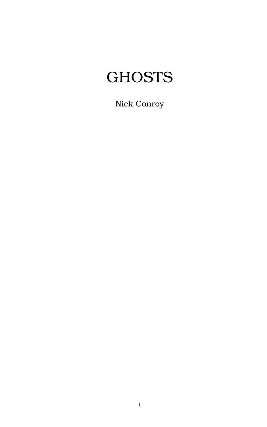## **GHOSTS**

Nick Conroy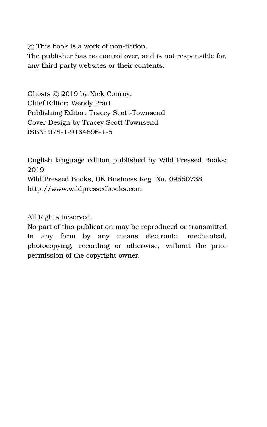c This book is a work of non-fiction.

The publisher has no control over, and is not responsible for, any third party websites or their contents.

Ghosts © 2019 by Nick Conroy. Chief Editor: Wendy Pratt Publishing Editor: Tracey Scott-Townsend Cover Design by Tracey Scott-Townsend ISBN: 978-1-9164896-1-5

English language edition published by Wild Pressed Books: 2019 Wild Pressed Books, UK Business Reg. No. 09550738 http://www.wildpressedbooks.com

All Rights Reserved.

No part of this publication may be reproduced or transmitted in any form by any means electronic, mechanical, photocopying, recording or otherwise, without the prior permission of the copyright owner.